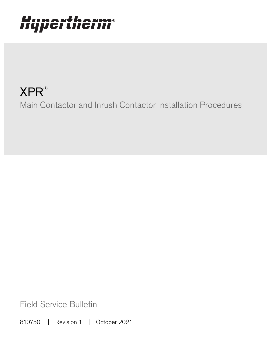# Hypertherm®

## XPR® Main Contactor and Inrush Contactor Installation Procedures

Field Service Bulletin

810750 | Revision 1 | October 2021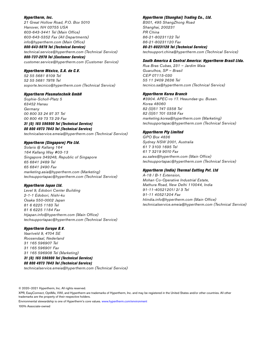#### Hypertherm, Inc.

21 Great Hollow Road, P.O. Box 5010 Hanover, NH 03755 USA 603-643-3441 Tel (Main Office) 603-643-5352 Fax (All Departments) info@hypertherm.com (Main Office)

800-643-9878 Tel (Technical Service) technical.service@hypertherm.com (Technical Service) 800-737-2978 Tel (Customer Service)

customer.service@hypertherm.com (Customer Service)

#### Hypertherm México, S.A. de C.V.

52 55 5681 8109 Tel 52 55 5681 7978 Tel soporte.tecnico@hypertherm.com (Technical Service)

#### Hypertherm Plasmatechnik GmbH

Sophie-Scholl-Platz 5 63452 Hanau **Germany** 00 800 33 24 97 37 Tel 00 800 49 73 73 29 Fax

#### 31 (0) 165 596900 Tel (Technical Service) 00 800 4973 7843 Tel (Technical Service)

technicalservice.emeia@hypertherm.com (Technical Service)

#### Hypertherm (Singapore) Pte Ltd.

Solaris @ Kallang 164 164 Kallang Way #03-13 Singapore 349248, Republic of Singapore 65 6841 2489 Tel 65 6841 2490 Fax marketing.asia@hypertherm.com (Marketing) techsupportapac@hypertherm.com (Technical Service)

#### Hypertherm Japan Ltd.

Level 9, Edobori Center Building 2-1-1 Edobori, Nishi-ku Osaka 550-0002 Japan 81 6 6225 1183 Tel 81 6 6225 1184 Fax htjapan.info@hypertherm.com (Main Office) techsupportapac@hypertherm.com (Technical Service)

#### Hypertherm Europe B.V.

Vaartveld 9, 4704 SE Roosendaal, Nederland 31 165 596907 Tel 31 165 596901 Fax 31 165 596908 Tel (Marketing) 31 (0) 165 596900 Tel (Technical Service) 00 800 4973 7843 Tel (Technical Service)

technicalservice.emeia@hypertherm.com (Technical Service)

#### Hypertherm (Shanghai) Trading Co., Ltd.

B301, 495 ShangZhong Road Shanghai, 200231 PR China 86-21-80231122 Tel 86-21-80231120 Fax

#### 86-21-80231128 Tel (Technical Service)

techsupport.china@hypertherm.com (Technical Service)

#### South America & Central America: Hypertherm Brasil Ltda.

Rua Bras Cubas, 231 – Jardim Maia Guarulhos, SP – Brasil CEP 07115-030 55 11 2409 2636 Tel tecnico.sa@hypertherm.com (Technical Service)

#### Hypertherm Korea Branch

#3904. APEC-ro 17. Heaundae-gu. Busan. Korea 48060 82 (0)51 747 0358 Tel 82 (0)51 701 0358 Fax marketing.korea@hypertherm.com (Marketing) techsupportapac@hypertherm.com (Technical Service)

#### Hypertherm Pty Limited

GPO Box 4836 Sydney NSW 2001, Australia 61 7 3103 1695 Tel 61 7 3219 9010 Fax au.sales@hypertherm.com (Main Office) techsupportapac@hypertherm.com (Technical Service)

#### Hypertherm (India) Thermal Cutting Pvt. Ltd

A-18 / B-1 Extension, Mohan Co-Operative Industrial Estate, Mathura Road, New Delhi 110044, India 91-11-40521201/ 2/ 3 Tel 91-11 40521204 Fax htindia.info@hypertherm.com (Main Office) technicalservice.emeia@hypertherm.com (Technical Service)

© 2020–2021 Hypertherm, Inc. All rights reserved.

XPR, EasyConnect, OptiMix, VWI, and Hypertherm are trademarks of Hypertherm, Inc. and may be registered in the United States and/or other countries. All other trademarks are the property of their respective holders.

[Environmental stewardship is one of Hypertherm's core values. w](https://www.hypertherm.com/environment)ww.hypertherm.com/environment

100% Associate-owned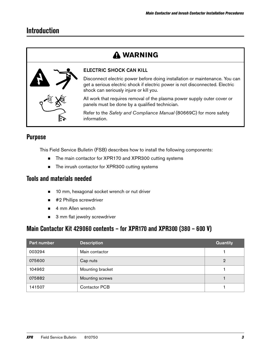## **Introduction**

## **WARNING**



#### ELECTRIC SHOCK CAN KILL

Disconnect electric power before doing installation or maintenance. You can get a serious electric shock if electric power is not disconnected. Electric shock can seriously injure or kill you.

All work that requires removal of the plasma power supply outer cover or panels must be done by a qualified technician.

Refer to the Safety and Compliance Manual (80669C) for more safety information.

## **Purpose**

This Field Service Bulletin (FSB) describes how to install the following components:

- The main contactor for XPR170 and XPR300 cutting systems
- The inrush contactor for XPR300 cutting systems

### **Tools and materials needed**

- 10 mm, hexagonal socket wrench or nut driver
- #2 Phillips screwdriver
- 4 mm Allen wrench
- 3 mm flat jewelry screwdriver

## **Main Contactor Kit 429060 contents – for XPR170 and XPR300 (380 – 600 V)**

| Part number | <b>Description</b>   | <b>Quantity</b> |
|-------------|----------------------|-----------------|
| 003294      | Main contactor       |                 |
| 075600      | Cap nuts             | 2               |
| 104962      | Mounting bracket     |                 |
| 075882      | Mounting screws      |                 |
| 141507      | <b>Contactor PCB</b> |                 |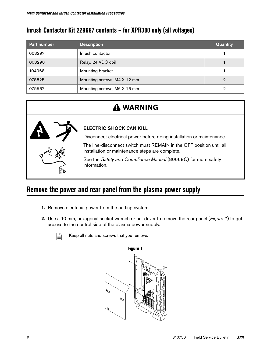## **Inrush Contactor Kit 229697 contents – for XPR300 only (all voltages)**

| Part number | <b>Description</b>          | <b>Quantity</b> |
|-------------|-----------------------------|-----------------|
| 003297      | Inrush contactor            |                 |
| 003298      | Relay, 24 VDC coil          |                 |
| 104968      | Mounting bracket            |                 |
| 075525      | Mounting screws, M4 X 12 mm | 2               |
| 075567      | Mounting screws, M6 X 16 mm | 2               |

## **WARNING**



ELECTRIC SHOCK CAN KILL

Disconnect electrical power before doing installation or maintenance.

The line-disconnect switch must REMAIN in the OFF position until all installation or maintenance steps are complete.

See the Safety and Compliance Manual (80669C) for more safety information.

## **Remove the power and rear panel from the plasma power supply**

- 1. Remove electrical power from the cutting system.
- **2.** Use a 10 mm, hexagonal socket wrench or nut driver to remove the rear panel (*[Figure 1](#page-3-0)*) to get access to the control side of the plasma power supply.

<span id="page-3-0"></span>

 $\mathbb{R}$  Keep all nuts and screws that you remove.

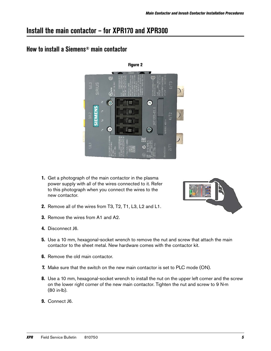## **Install the main contactor – for XPR170 and XPR300**

## **How to install a Siemens® main contactor**



- <span id="page-4-0"></span>1. Get a photograph of the main contactor in the plasma power supply with all of the wires connected to it. Refer to this photograph when you connect the wires to the new contactor.
- 2. Remove all of the wires from T3, T2, T1, L3, L2 and L1.
- **3.** Remove the wires from A1 and A2.
- 4. Disconnect J6.
- **5.** Use a 10 mm, hexagonal-socket wrench to remove the nut and screw that attach the main contactor to the sheet metal. New hardware comes with the contactor kit.
- **6.** Remove the old main contactor.
- 7. Make sure that the switch on the new main contactor is set to PLC mode (ON).
- 8. Use a 10 mm, hexagonal-socket wrench to install the nut on the upper left corner and the screw on the lower right corner of the new main contactor. Tighten the nut and screw to 9 N∙m (80 in∙lb).
- 9. Connect J6.

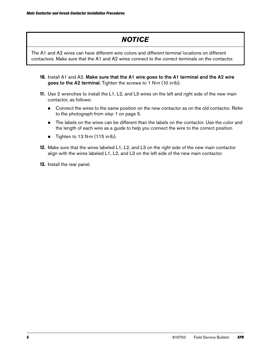## **NOTICE**

The A1 and A2 wires can have different wire colors and different terminal locations on different contactors. Make sure that the A1 and A2 wires connect to the correct terminals on the contactor.

- 10. Install A1 and A2. Make sure that the A1 wire goes to the A1 terminal and the A2 wire goes to the A2 terminal. Tighten the screws to 1 N⋅m (10 in⋅lb).
- 11. Use 2 wrenches to install the L1, L2, and L3 wires on the left and right side of the new main contactor, as follows:
	- **Connect the wires to the same position on the new contactor as on the old contactor. Refer** to the photograph from step 1 [on page 5](#page-4-0).
	- **n** The labels on the wires can be different than the labels on the contactor. Use the color and the length of each wire as a guide to help you connect the wire to the correct position.
	- Tighten to 13 N⋅m (115 in⋅lb).
- 12. Make sure that the wires labeled L1, L2, and L3 on the right side of the new main contactor align with the wires labeled L1, L2, and L3 on the left side of the new main contactor.
- 13. Install the rear panel.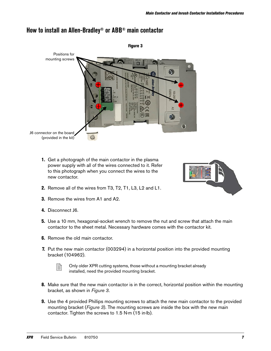<span id="page-6-0"></span>

## **How to install an Allen-Bradley® or ABB® main contactor**

<span id="page-6-1"></span>1. Get a photograph of the main contactor in the plasma power supply with all of the wires connected to it. Refer to this photograph when you connect the wires to the new contactor.



- 2. Remove all of the wires from T3, T2, T1, L3, L2 and L1.
- 3. Remove the wires from A1 and A2.
- 4. Disconnect J6.
- **5.** Use a 10 mm, hexagonal-socket wrench to remove the nut and screw that attach the main contactor to the sheet metal. Necessary hardware comes with the contactor kit.
- **6.** Remove the old main contactor.
- 7. Put the new main contactor (003294) in a horizontal position into the provided mounting bracket (104962).



 $\Box$  Only older XPR cutting systems, those without a mounting bracket already installed, need the provided mounting bracket.

- 8. Make sure that the new main contactor is in the correct, horizontal position within the mounting bracket, as shown in [Figure 3](#page-6-0).
- 9. Use the 4 provided Phillips mounting screws to attach the new main contactor to the provided mounting bracket (*[Figure 3](#page-6-0)*). The mounting screws are inside the box with the new main contactor. Tighten the screws to 1.5 N∙m (15 in∙lb).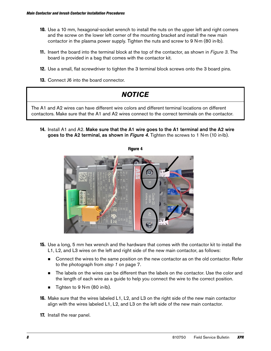- 10. Use a 10 mm, hexagonal-socket wrench to install the nuts on the upper left and right corners and the screw on the lower left corner of the mounting bracket and install the new main contactor in the plasma power supply. Tighten the nuts and screw to 9 N∙m (80 in∙lb).
- 11. Insert the board into the terminal block at the top of the contactor, as shown in *[Figure 3](#page-6-0)*. The board is provided in a bag that comes with the contactor kit.
- 12. Use a small, flat screwdriver to tighten the 3 terminal block screws onto the 3 board pins.
- 13. Connect J6 into the board connector.



<span id="page-7-0"></span>14. Install A1 and A2. Make sure that the A1 wire goes to the A1 terminal and the A2 wire goes to the A2 terminal, as shown in *[Figure 4](#page-7-0)*. Tighten the screws to 1 N⋅m (10 in⋅lb).



- 15. Use a long, 5 mm hex wrench and the hardware that comes with the contactor kit to install the L1, L2, and L3 wires on the left and right side of the new main contactor, as follows:
	- **Connect the wires to the same position on the new contactor as on the old contactor. Refer** to the photograph from step 1 [on page 7](#page-6-1).
	- **The labels on the wires can be different than the labels on the contactor. Use the color and** the length of each wire as a guide to help you connect the wire to the correct position.
	- Tighten to 9 N∙m (80 in∙lb).
- **16.** Make sure that the wires labeled L1, L2, and L3 on the right side of the new main contactor align with the wires labeled L1, L2, and L3 on the left side of the new main contactor.
- 17. Install the rear panel.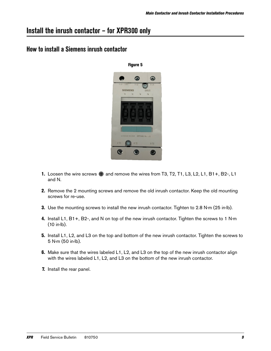## **Install the inrush contactor – for XPR300 only**

## **How to install a Siemens inrush contactor**



- 1. Loosen the wire screws  $\bigoplus$  and remove the wires from T3, T2, T1, L3, L2, L1, B1+, B2-, L1 and N.
- 2. Remove the 2 mounting screws and remove the old inrush contactor. Keep the old mounting screws for re-use.
- 3. Use the mounting screws to install the new inrush contactor. Tighten to 2.8 N⋅m (25 in⋅lb).
- 4. Install L1, B1+, B2-, and N on top of the new inrush contactor. Tighten the screws to 1 N∙m (10 in∙lb).
- 5. Install L1, L2, and L3 on the top and bottom of the new inrush contactor. Tighten the screws to 5 N∙m (50 in∙lb).
- **6.** Make sure that the wires labeled L1, L2, and L3 on the top of the new inrush contactor align with the wires labeled L1, L2, and L3 on the bottom of the new inrush contactor.
- 7. Install the rear panel.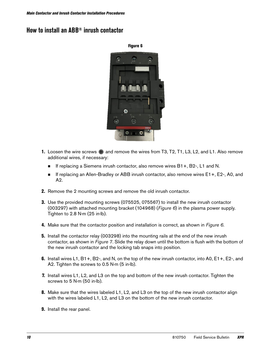## <span id="page-9-0"></span>**How to install an ABB® inrush contactor**



- **1.** Loosen the wire screws  $\bigoplus$  and remove the wires from T3, T2, T1, L3, L2, and L1. Also remove additional wires, if necessary:
	- If replacing a Siemens inrush contactor, also remove wires B1+, B2-, L1 and N.
	- If replacing an Allen-Bradley or ABB inrush contactor, also remove wires E1+, E2-, A0, and A2.
- 2. Remove the 2 mounting screws and remove the old inrush contactor.
- 3. Use the provided mounting screws (075525, 075567) to install the new inrush contactor (003297) with attached mounting bracket (104968) (*[Figure 6](#page-9-0)*) in the plasma power supply. Tighten to 2.8 N∙m (25 in∙lb).
- 4. Make sure that the contactor position and installation is correct, as shown in *[Figure 6](#page-9-0)*.
- **5.** Install the contactor relay (003298) into the mounting rails at the end of the new inrush contactor, as shown in [Figure 7](#page-10-0). Slide the relay down until the bottom is flush with the bottom of the new inrush contactor and the locking tab snaps into position.
- 6. Install wires L1, B1+, B2-, and N, on the top of the new inrush contactor, into A0, E1+, E2-, and A2. Tighten the screws to 0.5 N∙m (5 in∙lb).
- 7. Install wires L1, L2, and L3 on the top and bottom of the new inrush contactor. Tighten the screws to 5 N∙m (50 in∙lb).
- 8. Make sure that the wires labeled L1, L2, and L3 on the top of the new inrush contactor align with the wires labeled L1, L2, and L3 on the bottom of the new inrush contactor.
- 9. Install the rear panel.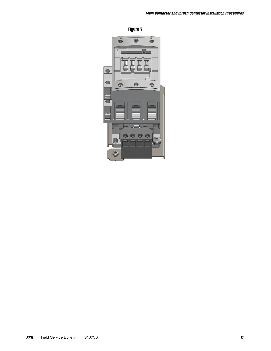<span id="page-10-0"></span>Figure 7